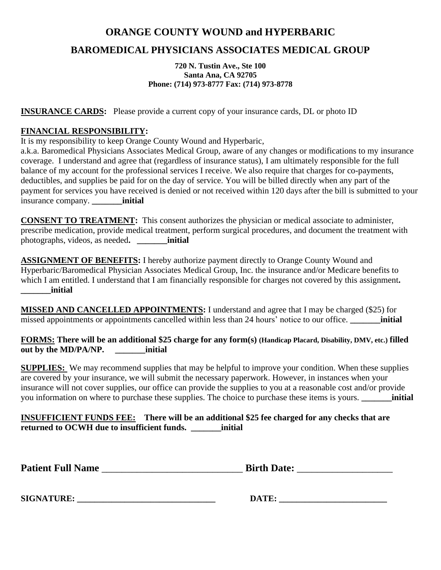## **ORANGE COUNTY WOUND and HYPERBARIC**

# **BAROMEDICAL PHYSICIANS ASSOCIATES MEDICAL GROUP**

**720 N. Tustin Ave., Ste 100 Santa Ana, CA 92705 Phone: (714) 973-8777 Fax: (714) 973-8778**

**INSURANCE CARDS:** Please provide a current copy of your insurance cards, DL or photo ID

#### **FINANCIAL RESPONSIBILITY:**

It is my responsibility to keep Orange County Wound and Hyperbaric,

a.k.a. Baromedical Physicians Associates Medical Group, aware of any changes or modifications to my insurance coverage. I understand and agree that (regardless of insurance status), I am ultimately responsible for the full balance of my account for the professional services I receive. We also require that charges for co-payments, deductibles, and supplies be paid for on the day of service. You will be billed directly when any part of the payment for services you have received is denied or not received within 120 days after the bill is submitted to your insurance company. **\_\_\_\_\_\_\_initial**

**CONSENT TO TREATMENT:** This consent authorizes the physician or medical associate to administer, prescribe medication, provide medical treatment, perform surgical procedures, and document the treatment with photographs, videos, as needed**. \_\_\_\_\_\_\_initial**

**ASSIGNMENT OF BENEFITS:** I hereby authorize payment directly to Orange County Wound and Hyperbaric/Baromedical Physician Associates Medical Group, Inc. the insurance and/or Medicare benefits to which I am entitled. I understand that I am financially responsible for charges not covered by this assignment. **\_\_\_\_\_\_\_initial**

**MISSED AND CANCELLED APPOINTMENTS:** I understand and agree that I may be charged (\$25) for missed appointments or appointments cancelled within less than 24 hours' notice to our office. **\_\_\_\_\_\_\_initial**

**FORMS: There will be an additional \$25 charge for any form(s) (Handicap Placard, Disability, DMV, etc.) filled out by the MD/PA/NP. \_\_\_\_\_\_\_initial**

**SUPPLIES:** We may recommend supplies that may be helpful to improve your condition. When these supplies are covered by your insurance, we will submit the necessary paperwork. However, in instances when your insurance will not cover supplies, our office can provide the supplies to you at a reasonable cost and/or provide you information on where to purchase these supplies. The choice to purchase these items is yours. **\_\_\_\_\_\_\_initial**

**INSUFFICIENT FUNDS FEE: There will be an additional \$25 fee charged for any checks that are returned to OCWH due to insufficient funds. \_\_\_\_\_\_\_initial**

**SIGNATURE: \_\_\_\_\_\_\_\_\_\_\_\_\_\_\_\_\_\_\_\_\_\_\_\_\_\_\_\_\_\_\_\_ DATE: \_\_\_\_\_\_\_\_\_\_\_\_\_\_\_\_\_\_\_\_\_\_\_\_\_**

| DATE: |  |
|-------|--|
|-------|--|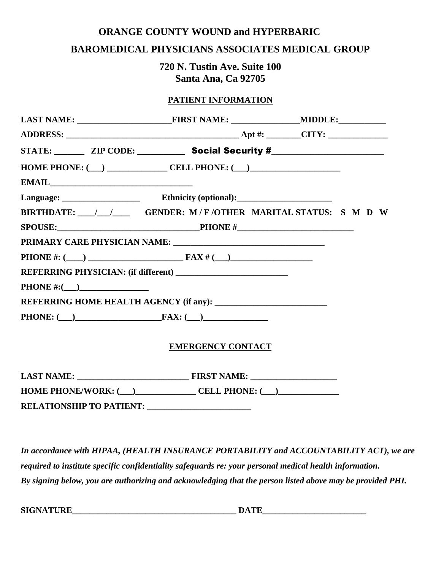#### **ORANGE COUNTY WOUND and HYPERBARIC**

#### **BAROMEDICAL PHYSICIANS ASSOCIATES MEDICAL GROUP**

**720 N. Tustin Ave. Suite 100 Santa Ana, Ca 92705**

#### **PATIENT INFORMATION**

| STATE: ZIP CODE: Social Security #                       |  |  |
|----------------------------------------------------------|--|--|
| HOME PHONE: $(\_)$ CELL PHONE: $(\_)$                    |  |  |
|                                                          |  |  |
|                                                          |  |  |
| BIRTHDATE: / / GENDER: M/F/OTHER MARITAL STATUS: S M D W |  |  |
|                                                          |  |  |
|                                                          |  |  |
|                                                          |  |  |
|                                                          |  |  |
|                                                          |  |  |
|                                                          |  |  |
| PHONE: $(\_)$ FAX: $(\_)$                                |  |  |
| <b>EMERGENCY CONTACT</b>                                 |  |  |

| <b>LAST NAME:</b>               | <b>FIRST NAME:</b> |
|---------------------------------|--------------------|
| <b>HOME PHONE/WORK: (</b>       | CELL PHONE: ( )    |
| <b>RELATIONSHIP TO PATIENT:</b> |                    |

*In accordance with HIPAA, (HEALTH INSURANCE PORTABILITY and ACCOUNTABILITY ACT), we are required to institute specific confidentiality safeguards re: your personal medical health information. By signing below, you are authorizing and acknowledging that the person listed above may be provided PHI.*

**SIGNATURE\_\_\_\_\_\_\_\_\_\_\_\_\_\_\_\_\_\_\_\_\_\_\_\_\_\_\_\_\_\_\_\_\_\_\_\_\_\_ DATE\_\_\_\_\_\_\_\_\_\_\_\_\_\_\_\_\_\_\_\_\_\_\_\_**